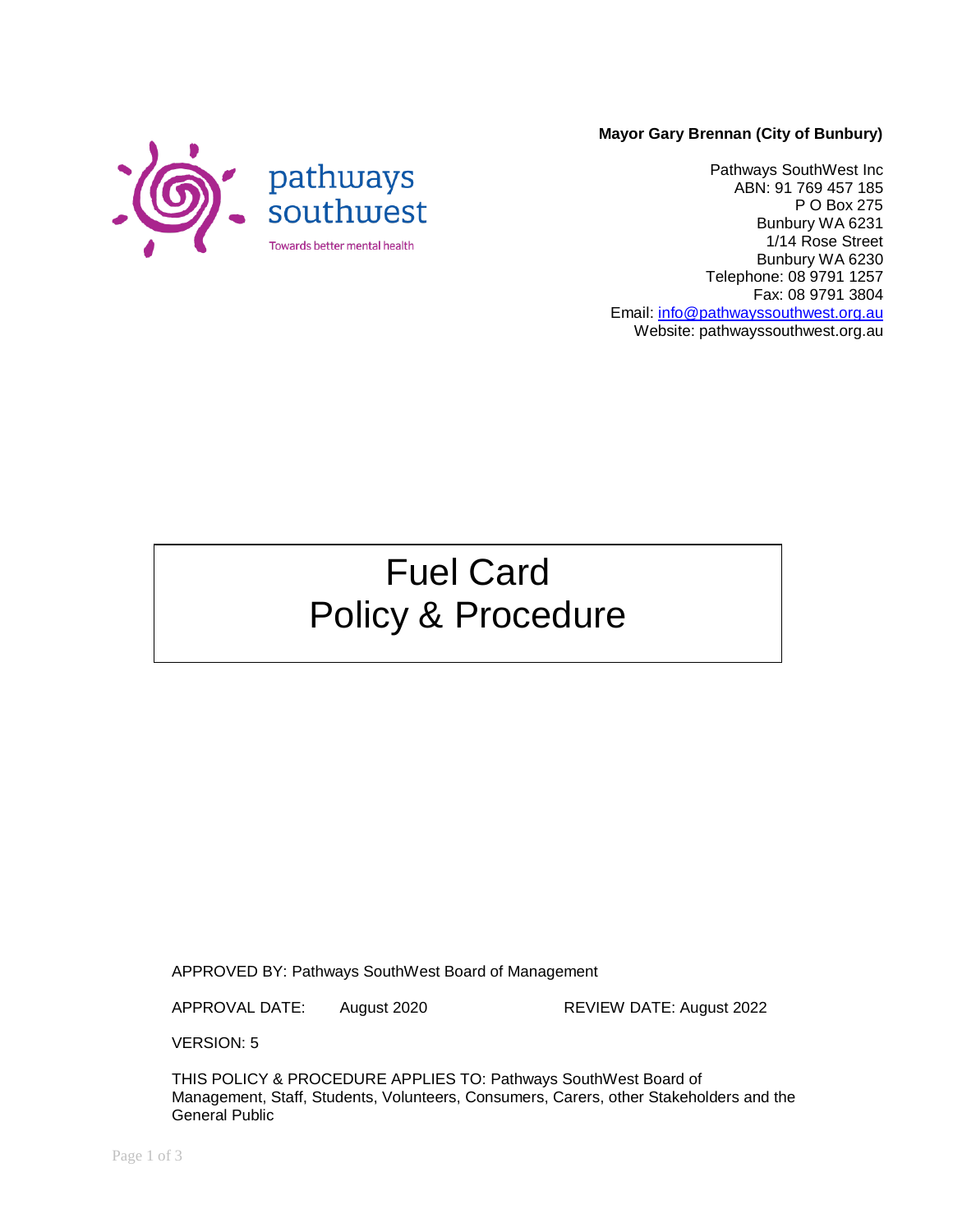#### **Mayor Gary Brennan (City of Bunbury)**



Pathways SouthWest Inc ABN: 91 769 457 185 P O Box 275 Bunbury WA 6231 1/14 Rose Street Bunbury WA 6230 Telephone: 08 9791 1257 Fax: 08 9791 3804 Email: [info@pathwayssouthwest.org.au](mailto:info@pathwayssouthwest.org.au) Website: pathwayssouthwest.org.au

# Fuel Card Policy & Procedure

APPROVED BY: Pathways SouthWest Board of Management

APPROVAL DATE: August 2020 REVIEW DATE: August 2022

VERSION: 5

THIS POLICY & PROCEDURE APPLIES TO: Pathways SouthWest Board of Management, Staff, Students, Volunteers, Consumers, Carers, other Stakeholders and the General Public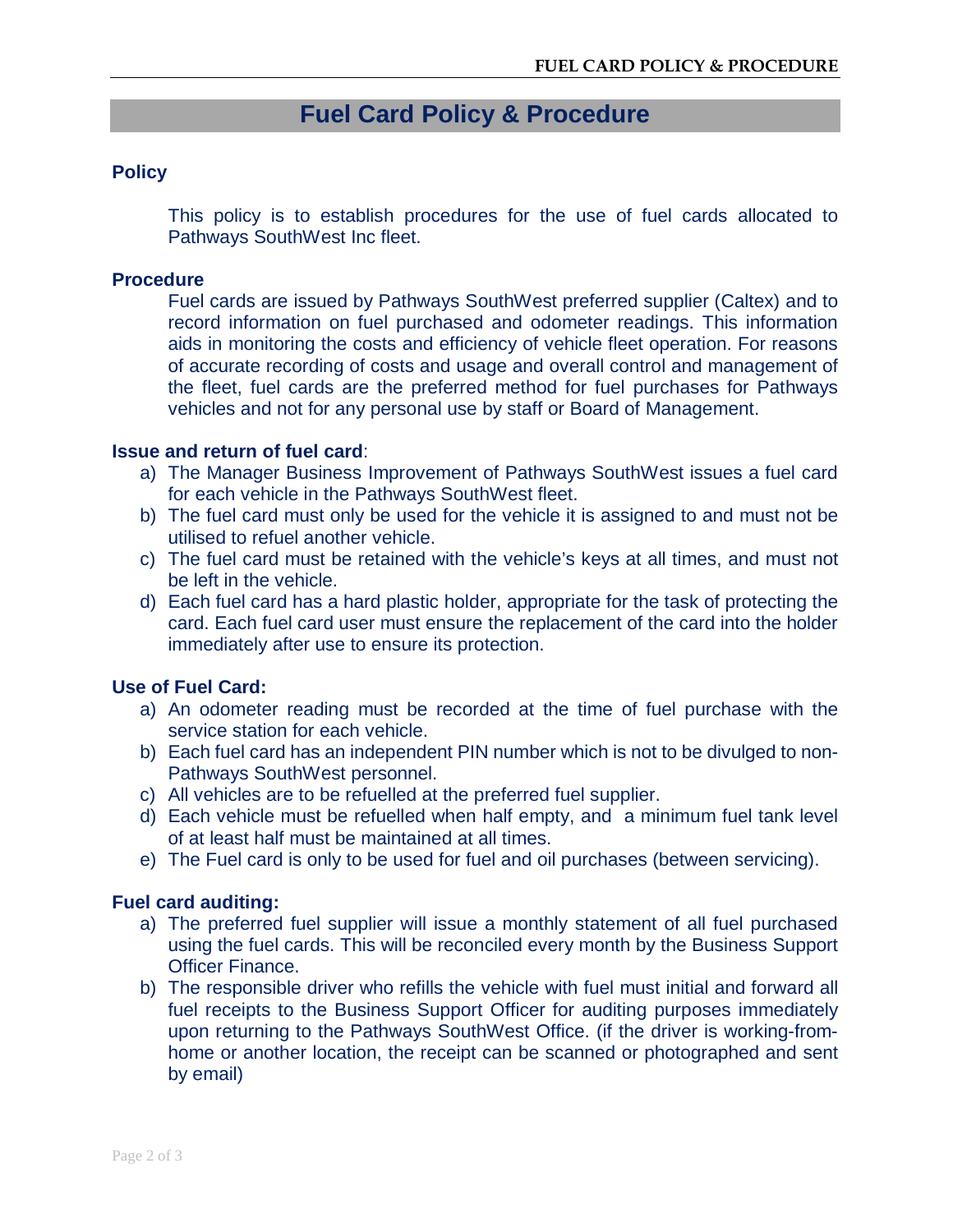# **Fuel Card Policy & Procedure**

## **Policy**

This policy is to establish procedures for the use of fuel cards allocated to Pathways SouthWest Inc fleet.

### **Procedure**

Fuel cards are issued by Pathways SouthWest preferred supplier (Caltex) and to record information on fuel purchased and odometer readings. This information aids in monitoring the costs and efficiency of vehicle fleet operation. For reasons of accurate recording of costs and usage and overall control and management of the fleet, fuel cards are the preferred method for fuel purchases for Pathways vehicles and not for any personal use by staff or Board of Management.

# **Issue and return of fuel card**:

- a) The Manager Business Improvement of Pathways SouthWest issues a fuel card for each vehicle in the Pathways SouthWest fleet.
- b) The fuel card must only be used for the vehicle it is assigned to and must not be utilised to refuel another vehicle.
- c) The fuel card must be retained with the vehicle's keys at all times, and must not be left in the vehicle.
- d) Each fuel card has a hard plastic holder, appropriate for the task of protecting the card. Each fuel card user must ensure the replacement of the card into the holder immediately after use to ensure its protection.

## **Use of Fuel Card:**

- a) An odometer reading must be recorded at the time of fuel purchase with the service station for each vehicle.
- b) Each fuel card has an independent PIN number which is not to be divulged to non-Pathways SouthWest personnel.
- c) All vehicles are to be refuelled at the preferred fuel supplier.
- d) Each vehicle must be refuelled when half empty, and a minimum fuel tank level of at least half must be maintained at all times.
- e) The Fuel card is only to be used for fuel and oil purchases (between servicing).

## **Fuel card auditing:**

- a) The preferred fuel supplier will issue a monthly statement of all fuel purchased using the fuel cards. This will be reconciled every month by the Business Support Officer Finance.
- b) The responsible driver who refills the vehicle with fuel must initial and forward all fuel receipts to the Business Support Officer for auditing purposes immediately upon returning to the Pathways SouthWest Office. (if the driver is working-fromhome or another location, the receipt can be scanned or photographed and sent by email)